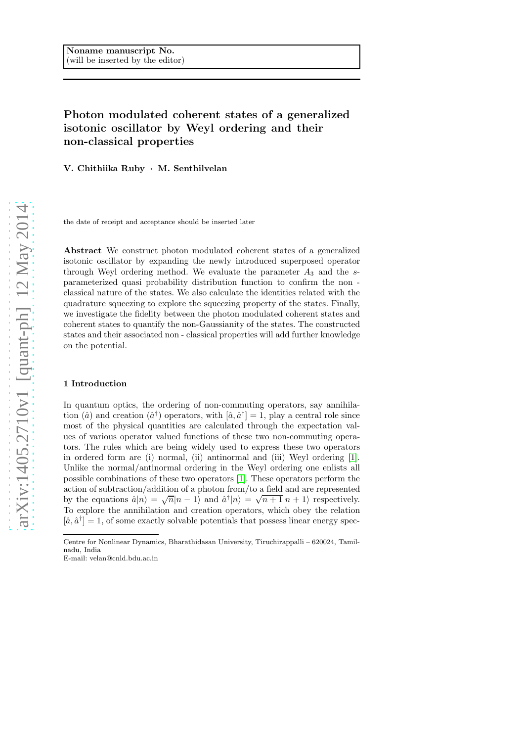# Photon modulated coherent states of a generalized isotonic oscillator by Weyl ordering and their non-classical properties

V. Chithiika Ruby · M. Senthilvelan

the date of receipt and acceptance should be inserted later

Abstract We construct photon modulated coherent states of a generalized isotonic oscillator by expanding the newly introduced superposed operator through Weyl ordering method. We evaluate the parameter  $A_3$  and the sparameterized quasi probability distribution function to confirm the non classical nature of the states. We also calculate the identities related with the quadrature squeezing to explore the squeezing property of the states. Finally, we investigate the fidelity between the photon modulated coherent states and coherent states to quantify the non-Gaussianity of the states. The constructed states and their associated non - classical properties will add further knowledge on the potential.

### 1 Introduction

In quantum optics, the ordering of non-commuting operators, say annihilation ( $\hat{a}$ ) and creation ( $\hat{a}^{\dagger}$ ) operators, with  $[\hat{a}, \hat{a}^{\dagger}] = 1$ , play a central role since most of the physical quantities are calculated through the expectation values of various operator valued functions of these two non-commuting operators. The rules which are being widely used to express these two operators in ordered form are (i) normal, (ii) antinormal and (iii) Weyl ordering [\[1\]](#page-12-0). Unlike the normal/antinormal ordering in the Weyl ordering one enlists all possible combinations of these two operators [\[1\]](#page-12-0). These operators perform the action of subtraction/addition of a photon from/to a field and are represented by the equations  $\hat{a}|n\rangle = \sqrt{n}|n-1\rangle$  and  $\hat{a}^{\dagger}|n\rangle = \sqrt{n+1}|n+1\rangle$  respectively. To explore the annihilation and creation operators, which obey the relation  $[\hat{a}, \hat{a}^{\dagger}] = 1$ , of some exactly solvable potentials that possess linear energy spec-

Centre for Nonlinear Dynamics, Bharathidasan University, Tiruchirappalli – 620024, Tamilnadu, India

E-mail: velan@cnld.bdu.ac.in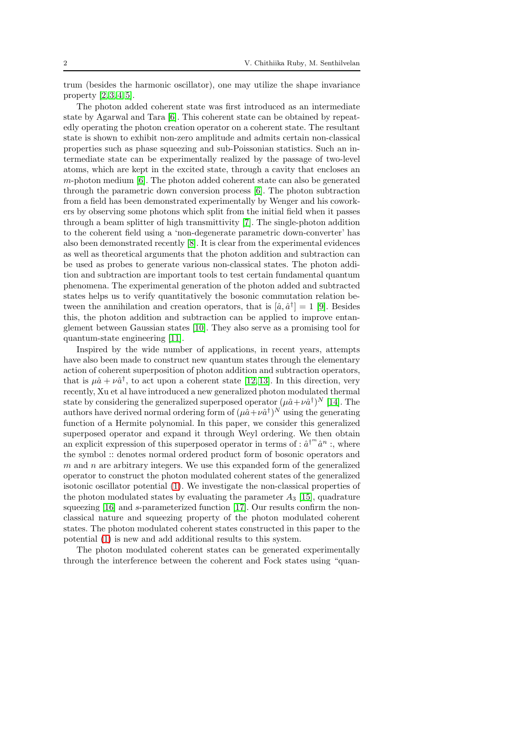trum (besides the harmonic oscillator), one may utilize the shape invariance property  $[2, 3, 4, 5]$  $[2, 3, 4, 5]$  $[2, 3, 4, 5]$  $[2, 3, 4, 5]$ .

The photon added coherent state was first introduced as an intermediate state by Agarwal and Tara [\[6\]](#page-12-5). This coherent state can be obtained by repeatedly operating the photon creation operator on a coherent state. The resultant state is shown to exhibit non-zero amplitude and admits certain non-classical properties such as phase squeezing and sub-Poissonian statistics. Such an intermediate state can be experimentally realized by the passage of two-level atoms, which are kept in the excited state, through a cavity that encloses an m-photon medium [\[6\]](#page-12-5). The photon added coherent state can also be generated through the parametric down conversion process [\[6\]](#page-12-5). The photon subtraction from a field has been demonstrated experimentally by Wenger and his coworkers by observing some photons which split from the initial field when it passes through a beam splitter of high transmittivity [\[7\]](#page-12-6). The single-photon addition to the coherent field using a 'non-degenerate parametric down-converter' has also been demonstrated recently [\[8\]](#page-12-7). It is clear from the experimental evidences as well as theoretical arguments that the photon addition and subtraction can be used as probes to generate various non-classical states. The photon addition and subtraction are important tools to test certain fundamental quantum phenomena. The experimental generation of the photon added and subtracted states helps us to verify quantitatively the bosonic commutation relation between the annihilation and creation operators, that is  $[\hat{a}, \hat{a}^{\dagger}] = 1$  [\[9\]](#page-12-8). Besides this, the photon addition and subtraction can be applied to improve entanglement between Gaussian states [\[10\]](#page-12-9). They also serve as a promising tool for quantum-state engineering [\[11\]](#page-13-0).

Inspired by the wide number of applications, in recent years, attempts have also been made to construct new quantum states through the elementary action of coherent superposition of photon addition and subtraction operators, that is  $\mu \hat{a} + \nu \hat{a}^{\dagger}$ , to act upon a coherent state [\[12,](#page-13-1) [13\]](#page-13-2). In this direction, very recently, Xu et al have introduced a new generalized photon modulated thermal state by considering the generalized superposed operator  $(\mu \hat{a} + \nu \hat{a}^{\dagger})^N$  [\[14\]](#page-13-3). The authors have derived normal ordering form of  $(\mu \hat{a} + \nu \hat{a}^{\dagger})^N$  using the generating function of a Hermite polynomial. In this paper, we consider this generalized superposed operator and expand it through Weyl ordering. We then obtain an explicit expression of this superposed operator in terms of :  $\hat{a}^{\dagger m} \hat{a}^n$  :, where the symbol :: denotes normal ordered product form of bosonic operators and  $m$  and  $n$  are arbitrary integers. We use this expanded form of the generalized operator to construct the photon modulated coherent states of the generalized isotonic oscillator potential [\(1\)](#page-2-0). We investigate the non-classical properties of the photon modulated states by evaluating the parameter  $A_3$  [\[15\]](#page-13-4), quadrature squeezing [\[16\]](#page-13-5) and s-parameterized function [\[17\]](#page-13-6). Our results confirm the nonclassical nature and squeezing property of the photon modulated coherent states. The photon modulated coherent states constructed in this paper to the potential [\(1\)](#page-2-0) is new and add additional results to this system.

The photon modulated coherent states can be generated experimentally through the interference between the coherent and Fock states using "quan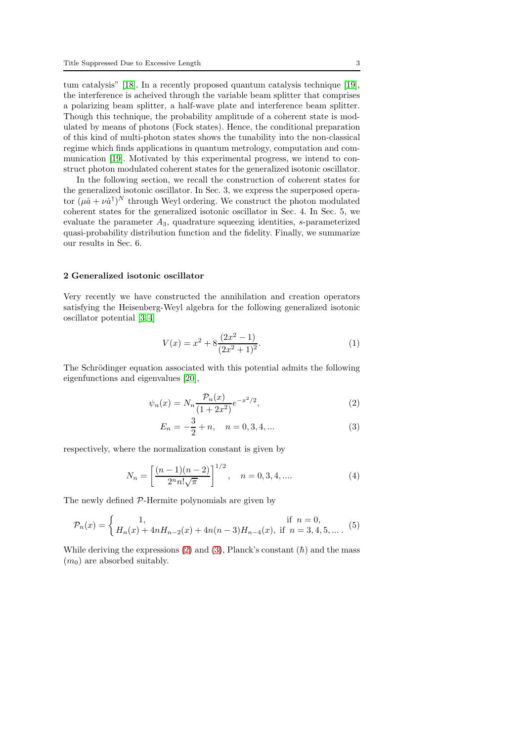tum catalysis" [\[18\]](#page-13-7). In a recently proposed quantum catalysis technique [\[19\]](#page-13-8), the interference is acheived through the variable beam splitter that comprises a polarizing beam splitter, a half-wave plate and interference beam splitter. Though this technique, the probability amplitude of a coherent state is modulated by means of photons (Fock states). Hence, the conditional preparation of this kind of multi-photon states shows the tunability into the non-classical regime which finds applications in quantum metrology, computation and communication [\[19\]](#page-13-8). Motivated by this experimental progress, we intend to construct photon modulated coherent states for the generalized isotonic oscillator.

In the following section, we recall the construction of coherent states for the generalized isotonic oscillator. In Sec. 3, we express the superposed operator  $(\mu \hat{a} + \nu \hat{a}^{\dagger})^N$  through Weyl ordering. We construct the photon modulated coherent states for the generalized isotonic oscillator in Sec. 4. In Sec. 5, we evaluate the parameter  $A_3$ , quadrature squeezing identities, s-parameterized quasi-probability distribution function and the fidelity. Finally, we summarize our results in Sec. 6.

## 2 Generalized isotonic oscillator

Very recently we have constructed the annihilation and creation operators satisfying the Heisenberg-Weyl algebra for the following generalized isotonic oscillator potential [\[3,](#page-12-2) [4\]](#page-12-3)

<span id="page-2-0"></span>
$$
V(x) = x^2 + 8\frac{(2x^2 - 1)}{(2x^2 + 1)^2}.
$$
 (1)

The Schrödinger equation associated with this potential admits the following eigenfunctions and eigenvalues [\[20\]](#page-13-9),

<span id="page-2-1"></span>
$$
\psi_n(x) = N_n \frac{\mathcal{P}_n(x)}{(1 + 2x^2)} e^{-x^2/2},\tag{2}
$$

$$
E_n = -\frac{3}{2} + n, \quad n = 0, 3, 4, \dots
$$
 (3)

respectively, where the normalization constant is given by

$$
N_n = \left[\frac{(n-1)(n-2)}{2^n n! \sqrt{\pi}}\right]^{1/2}, \quad n = 0, 3, 4, .... \tag{4}
$$

The newly defined P-Hermite polynomials are given by

$$
\mathcal{P}_n(x) = \begin{cases} 1, & \text{if } n = 0, \\ H_n(x) + 4nH_{n-2}(x) + 4n(n-3)H_{n-4}(x), & \text{if } n = 3, 4, 5, \dots \end{cases}
$$
 (5)

While deriving the expressions [\(2\)](#page-2-1) and [\(3\)](#page-2-1), Planck's constant  $(h)$  and the mass  $(m_0)$  are absorbed suitably.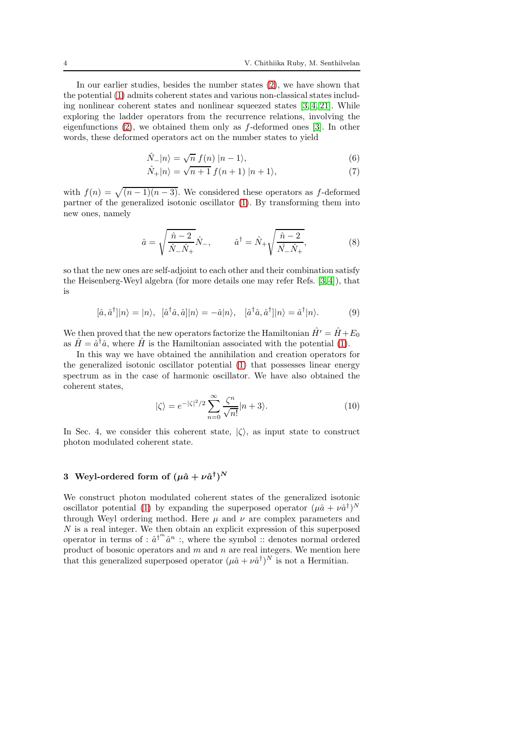In our earlier studies, besides the number states [\(2\)](#page-2-1), we have shown that the potential [\(1\)](#page-2-0) admits coherent states and various non-classical states including nonlinear coherent states and nonlinear squeezed states  $[3, 4, 21]$  $[3, 4, 21]$  $[3, 4, 21]$  $[3, 4, 21]$ . While exploring the ladder operators from the recurrence relations, involving the eigenfunctions [\(2\)](#page-2-1), we obtained them only as f-deformed ones [\[3\]](#page-12-2). In other words, these deformed operators act on the number states to yield

$$
\hat{N}_{-}|n\rangle = \sqrt{n} \ f(n) \ |n-1\rangle,\tag{6}
$$

$$
\hat{N}_+|n\rangle = \sqrt{n+1} \, f(n+1) \, |n+1\rangle,\tag{7}
$$

with  $f(n) = \sqrt{(n-1)(n-3)}$ . We considered these operators as f-deformed partner of the generalized isotonic oscillator [\(1\)](#page-2-0). By transforming them into new ones, namely

$$
\hat{a} = \sqrt{\frac{\hat{n} - 2}{\hat{N}_{-} \hat{N}_{+}}} \hat{N}_{-}, \qquad \hat{a}^{\dagger} = \hat{N}_{+} \sqrt{\frac{\hat{n} - 2}{\hat{N}_{-} \hat{N}_{+}}}, \qquad (8)
$$

so that the new ones are self-adjoint to each other and their combination satisfy the Heisenberg-Weyl algebra (for more details one may refer Refs. [\[3,](#page-12-2) [4\]](#page-12-3)), that is

$$
[\hat{a}, \hat{a}^{\dagger}]|n\rangle = |n\rangle, \quad [\hat{a}^{\dagger}\hat{a}, \hat{a}]|n\rangle = -\hat{a}|n\rangle, \quad [\hat{a}^{\dagger}\hat{a}, \hat{a}^{\dagger}]|n\rangle = \hat{a}^{\dagger}|n\rangle. \tag{9}
$$

We then proved that the new operators factorize the Hamiltonian  $\hat{H}' = \hat{H} + E_0$ as  $\hat{H} = \hat{a}^{\dagger} \hat{a}$ , where  $\hat{H}$  is the Hamiltonian associated with the potential [\(1\)](#page-2-0).

In this way we have obtained the annihilation and creation operators for the generalized isotonic oscillator potential [\(1\)](#page-2-0) that possesses linear energy spectrum as in the case of harmonic oscillator. We have also obtained the coherent states,

<span id="page-3-0"></span>
$$
|\zeta\rangle = e^{-|\zeta|^2/2} \sum_{n=0}^{\infty} \frac{\zeta^n}{\sqrt{n!}} |n+3\rangle.
$$
 (10)

In Sec. 4, we consider this coherent state,  $|\langle \rangle$ , as input state to construct photon modulated coherent state.

# 3 Weyl-ordered form of  $(\mu \hat{a} + \nu \hat{a}^\dagger)^N$

We construct photon modulated coherent states of the generalized isotonic oscillator potential [\(1\)](#page-2-0) by expanding the superposed operator  $(\mu \hat{a} + \nu \hat{a}^{\dagger})^N$ through Weyl ordering method. Here  $\mu$  and  $\nu$  are complex parameters and N is a real integer. We then obtain an explicit expression of this superposed operator in terms of :  $\hat{a}^{\dagger^m}\hat{a}^n$  :, where the symbol :: denotes normal ordered product of bosonic operators and  $m$  and  $n$  are real integers. We mention here that this generalized superposed operator  $(\mu \hat{a} + \nu \hat{a}^{\dagger})^N$  is not a Hermitian.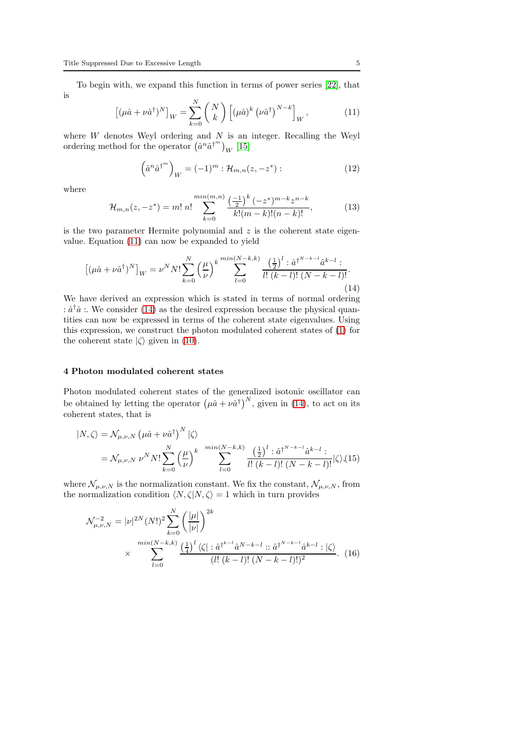To begin with, we expand this function in terms of power series [\[22\]](#page-13-11), that is <sub>N</sub>

<span id="page-4-0"></span>
$$
\left[ (\mu \hat{a} + \nu \hat{a}^{\dagger})^N \right]_W = \sum_{k=0}^N \binom{N}{k} \left[ (\mu \hat{a})^k \left( \nu \hat{a}^{\dagger} \right)^{N-k} \right]_W, \tag{11}
$$

where  $W$  denotes Weyl ordering and  $N$  is an integer. Recalling the Weyl ordering method for the operator  $(\hat{a}^n \hat{a}^{\dagger^m})_W$  [\[15\]](#page-13-4)

$$
\left(\hat{a}^n \hat{a}^{\dagger^m}\right)_W = (-1)^m : \mathcal{H}_{m,n}(z, -z^*) : \tag{12}
$$

where

$$
\mathcal{H}_{m,n}(z,-z^*) = m! \; n! \sum_{k=0}^{\min(m,n)} \frac{\left(\frac{-1}{2}\right)^k \left(-z^*\right)^{m-k} z^{n-k}}{k! (m-k)! (n-k)!},\tag{13}
$$

is the two parameter Hermite polynomial and  $z$  is the coherent state eigenvalue. Equation [\(11\)](#page-4-0) can now be expanded to yield

<span id="page-4-1"></span>
$$
\left[ (\mu \hat{a} + \nu \hat{a}^\dagger)^N \right]_W = \nu^N N! \sum_{k=0}^N \left( \frac{\mu}{\nu} \right)^k \sum_{l=0}^{\min(N-k,k)} \frac{\left( \frac{1}{2} \right)^l : \hat{a}^{\dagger^{N-k-l}} \hat{a}^{k-l} :}{l! \left( k-l \right)! \left( N-k-l \right)!}.
$$
\n(14)

We have derived an expression which is stated in terms of normal ordering  $:\hat{a}^{\dagger}\hat{a}$  :. We consider [\(14\)](#page-4-1) as the desired expression because the physical quantities can now be expressed in terms of the coherent state eigenvalues. Using this expression, we construct the photon modulated coherent states of [\(1\)](#page-2-0) for the coherent state  $|\zeta\rangle$  given in [\(10\)](#page-3-0).

## 4 Photon modulated coherent states

Photon modulated coherent states of the generalized isotonic oscillator can be obtained by letting the operator  $(\mu \hat{a} + \nu \hat{a}^{\dagger})^N$ , given in [\(14\)](#page-4-1), to act on its coherent states, that is

<span id="page-4-3"></span>
$$
|N,\zeta\rangle = \mathcal{N}_{\mu,\nu,N} \left(\mu \hat{a} + \nu \hat{a}^{\dagger}\right)^N |\zeta\rangle
$$
  
=  $\mathcal{N}_{\mu,\nu,N} \nu^N N! \sum_{k=0}^N \left(\frac{\mu}{\nu}\right)^k \sum_{l=0}^{\min(N-k,k)} \frac{\left(\frac{1}{2}\right)^l : \hat{a}^{\dagger^{N-k-l}} \hat{a}^{k-l} :}{l! (k-l)! (N-k-l)!} |\zeta\rangle, (15)$ 

where  $\mathcal{N}_{\mu,\nu,N}$  is the normalization constant. We fix the constant,  $\mathcal{N}_{\mu,\nu,N}$ , from the normalization condition  $\langle N, \zeta | N, \zeta \rangle = 1$  which in turn provides

<span id="page-4-2"></span>
$$
\mathcal{N}_{\mu,\nu,N}^{-2} = |\nu|^{2N} (N!)^2 \sum_{k=0}^N \left(\frac{|\mu|}{|\nu|}\right)^{2k} \times \sum_{l=0}^{\min(N-k,k)} \frac{\left(\frac{1}{4}\right)^l \langle \zeta | : \hat{a}^{\dagger^{k-l}} \hat{a}^{N-k-l} : : \hat{a}^{\dagger^{N-k-l}} \hat{a}^{k-l} : |\zeta\rangle}{(l! (k-l)! (N-k-l)!)^2}.
$$
 (16)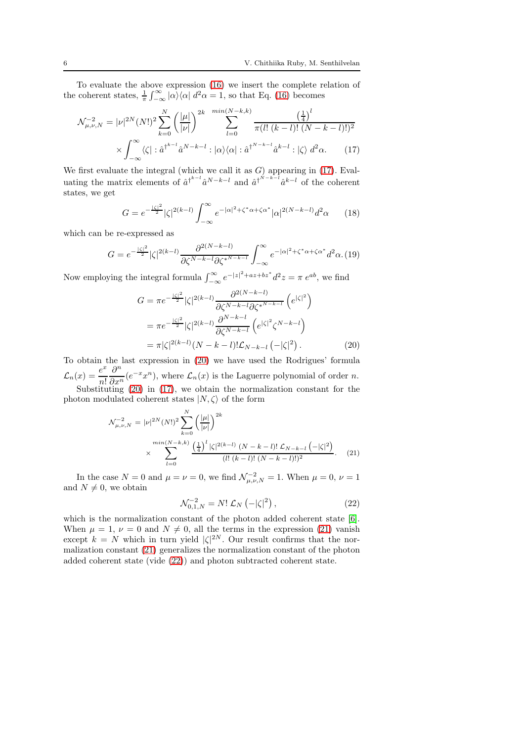To evaluate the above expression [\(16\)](#page-4-2) we insert the complete relation of the coherent states,  $\frac{1}{\pi} \int_{-\infty}^{\infty} |\alpha \rangle \langle \alpha | d^2 \alpha = 1$ , so that Eq. [\(16\)](#page-4-2) becomes

<span id="page-5-0"></span>
$$
\mathcal{N}_{\mu,\nu,N}^{-2} = |\nu|^{2N} (N!)^2 \sum_{k=0}^N \left( \frac{|\mu|}{|\nu|} \right)^{2k} \sum_{l=0}^{\min(N-k,k)} \frac{\left( \frac{1}{4} \right)^l}{\pi (l! \ (k-l)! \ (N-k-l)!)^2} \times \int_{-\infty}^{\infty} \langle \zeta | : \hat{a}^{\dagger^{k-l}} \hat{a}^{N-k-l} : |\alpha \rangle \langle \alpha | : \hat{a}^{\dagger^{N-k-l}} \hat{a}^{k-l} : |\zeta \rangle \, d^2 \alpha. \tag{17}
$$

We first evaluate the integral (which we call it as  $G$ ) appearing in [\(17\)](#page-5-0). Evaluating the matrix elements of  $\hat{a}^{\dagger^{k-l}} \hat{a}^{N-k-l}$  and  $\hat{a}^{\dagger^{N-k-l}} \hat{a}^{k-l}$  of the coherent states, we get

$$
G = e^{-\frac{|\zeta|^2}{2}} |\zeta|^{2(k-l)} \int_{-\infty}^{\infty} e^{-|\alpha|^2 + \zeta^* \alpha + \zeta \alpha^*} |\alpha|^{2(N-k-l)} d^2 \alpha \qquad (18)
$$

which can be re-expressed as

$$
G = e^{-\frac{|\zeta|^2}{2}} |\zeta|^{2(k-l)} \frac{\partial^{2(N-k-l)}}{\partial \zeta^{N-k-l} \partial \zeta^{*N-k-l}} \int_{-\infty}^{\infty} e^{-|\alpha|^2 + \zeta^* \alpha + \zeta \alpha^*} d^2\alpha. (19)
$$

Now employing the integral formula  $\int_{-\infty}^{\infty} e^{-|z|^2 + az + bz^*} d^2z = \pi e^{ab}$ , we find

<span id="page-5-1"></span>
$$
G = \pi e^{-\frac{|\zeta|^2}{2}} |\zeta|^{2(k-l)} \frac{\partial^{2(N-k-l)}}{\partial \zeta^{N-k-l} \partial \zeta^{*N-k-l}} \left( e^{|\zeta|^2} \right)
$$

$$
= \pi e^{-\frac{|\zeta|^2}{2}} |\zeta|^{2(k-l)} \frac{\partial^{N-k-l}}{\partial \zeta^{N-k-l}} \left( e^{|\zeta|^2} \zeta^{N-k-l} \right)
$$

$$
= \pi |\zeta|^{2(k-l)} (N-k-l)! \mathcal{L}_{N-k-l} \left( -|\zeta|^2 \right). \tag{20}
$$

To obtain the last expression in [\(20\)](#page-5-1) we have used the Rodrigues' formula  $\mathcal{L}_n(x) = \frac{e^x}{n!}$ n!  $\partial^n$  $\frac{\partial}{\partial x^n}(e^{-x}x^n)$ , where  $\mathcal{L}_n(x)$  is the Laguerre polynomial of order n. Substituting [\(20\)](#page-5-1) in [\(17\)](#page-5-0), we obtain the normalization constant for the

photon modulated coherent states  $|N,\zeta\rangle$  of the form

<span id="page-5-2"></span>
$$
\mathcal{N}_{\mu,\nu,N}^{-2} = |\nu|^{2N} (N!)^2 \sum_{k=0}^N \left(\frac{|\mu|}{|\nu|}\right)^{2k} \times \sum_{l=0}^{\min(N-k,k)} \frac{\left(\frac{1}{4}\right)^l |\zeta|^{2(k-l)} (N-k-l)! \mathcal{L}_{N-k-l} \left(-|\zeta|^2\right)}{(l! (k-l)! (N-k-l)!)^2}.
$$
 (21)

In the case  $N = 0$  and  $\mu = \nu = 0$ , we find  $\mathcal{N}_{\mu,\nu,N}^{-2} = 1$ . When  $\mu = 0$ ,  $\nu = 1$ and  $N \neq 0$ , we obtain

<span id="page-5-3"></span>
$$
\mathcal{N}_{0,1,N}^{-2} = N! \mathcal{L}_N \left( -|\zeta|^2 \right),\tag{22}
$$

which is the normalization constant of the photon added coherent state [\[6\]](#page-12-5). When  $\mu = 1$ ,  $\nu = 0$  and  $N \neq 0$ , all the terms in the expression [\(21\)](#page-5-2) vanish except  $k = N$  which in turn yield  $|\zeta|^{2N}$ . Our result confirms that the normalization constant [\(21\)](#page-5-2) generalizes the normalization constant of the photon added coherent state (vide [\(22\)](#page-5-3)) and photon subtracted coherent state.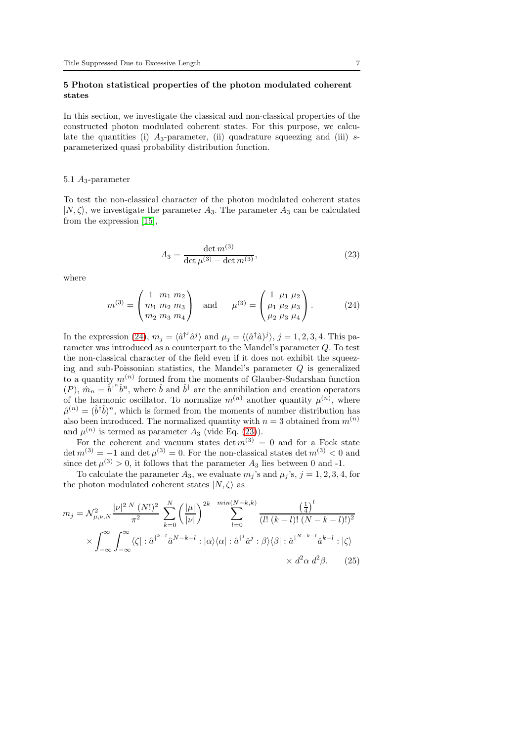## 5 Photon statistical properties of the photon modulated coherent states

In this section, we investigate the classical and non-classical properties of the constructed photon modulated coherent states. For this purpose, we calculate the quantities (i)  $A_3$ -parameter, (ii) quadrature squeezing and (iii) sparameterized quasi probability distribution function.

#### 5.1  $A_3$ -parameter

To test the non-classical character of the photon modulated coherent states  $|N,\zeta\rangle$ , we investigate the parameter  $A_3$ . The parameter  $A_3$  can be calculated from the expression [\[15\]](#page-13-4),

<span id="page-6-1"></span>
$$
A_3 = \frac{\det m^{(3)}}{\det \mu^{(3)} - \det m^{(3)}},\tag{23}
$$

where

<span id="page-6-0"></span>
$$
m^{(3)} = \begin{pmatrix} 1 & m_1 & m_2 \\ m_1 & m_2 & m_3 \\ m_2 & m_3 & m_4 \end{pmatrix} \text{ and } \mu^{(3)} = \begin{pmatrix} 1 & \mu_1 & \mu_2 \\ \mu_1 & \mu_2 & \mu_3 \\ \mu_2 & \mu_3 & \mu_4 \end{pmatrix}.
$$
 (24)

In the expression [\(24\)](#page-6-0),  $m_j = \langle \hat{a}^{\dagger} \hat{a}^j \rangle$  and  $\mu_j = \langle (\hat{a}^\dagger \hat{a})^j \rangle$ ,  $j = 1, 2, 3, 4$ . This parameter was introduced as a counterpart to the Mandel's parameter Q. To test the non-classical character of the field even if it does not exhibit the squeezing and sub-Poissonian statistics, the Mandel's parameter Q is generalized to a quantity  $m^{(n)}$  formed from the moments of Glauber-Sudarshan function  $(P)$ ,  $\hat{m}_n = \hat{b}^{\dagger n} \hat{b}^n$ , where  $\hat{b}$  and  $\hat{b}^{\dagger}$  are the annihilation and creation operators of the harmonic oscillator. To normalize  $m^{(n)}$  another quantity  $\mu^{(n)}$ , where  $\hat{\mu}^{(n)} = (\hat{b}^{\dagger} \hat{b})^n$ , which is formed from the moments of number distribution has also been introduced. The normalized quantity with  $n = 3$  obtained from  $m^{(n)}$ and  $\mu^{(n)}$  is termed as parameter  $A_3$  (vide Eq. [\(23\)](#page-6-1)).

For the coherent and vacuum states det  $m^{(3)} = 0$  and for a Fock state  $\det m^{(3)} = -1$  and  $\det \mu^{(3)} = 0$ . For the non-classical states  $\det m^{(3)} < 0$  and since det  $\mu^{(3)} > 0$ , it follows that the parameter  $A_3$  lies between 0 and -1.

To calculate the parameter  $A_3$ , we evaluate  $m_j$ 's and  $\mu_j$ 's,  $j = 1, 2, 3, 4$ , for the photon modulated coherent states  $|N,\zeta\rangle$  as

<span id="page-6-2"></span>
$$
m_j = \mathcal{N}_{\mu,\nu,N}^2 \frac{|\nu|^{2N} (N!)^2}{\pi^2} \sum_{k=0}^N \left(\frac{|\mu|}{|\nu|}\right)^{2k} \sum_{l=0}^{min(N-k,k)} \frac{\left(\frac{1}{4}\right)^l}{(l! (k-l)! (N-k-l)!)^2}
$$

$$
\times \int_{-\infty}^{\infty} \int_{-\infty}^{\infty} \langle \zeta | : \hat{a}^{\dagger^{k-l}} \hat{a}^{N-k-l} : |\alpha\rangle \langle \alpha | : \hat{a}^{\dagger^j} \hat{a}^j : \beta \rangle \langle \beta | : \hat{a}^{\dagger^{N-k-l}} \hat{a}^{k-l} : |\zeta\rangle
$$

$$
\times d^2 \alpha d^2 \beta. \qquad (25)
$$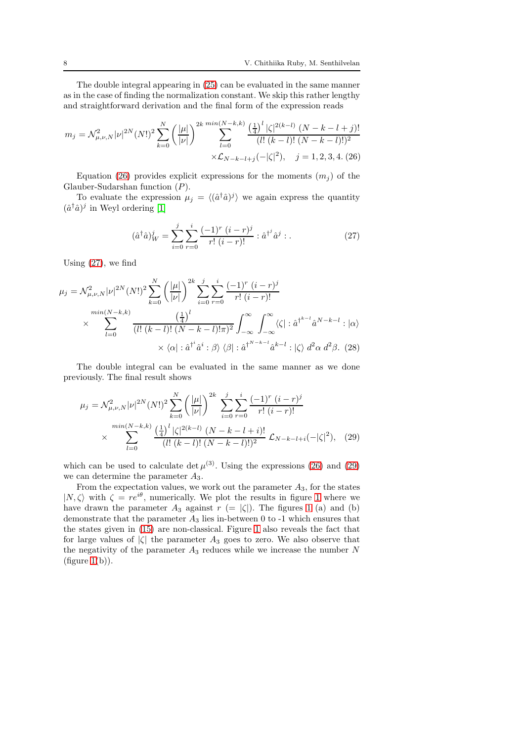The double integral appearing in [\(25\)](#page-6-2) can be evaluated in the same manner as in the case of finding the normalization constant. We skip this rather lengthy and straightforward derivation and the final form of the expression reads

<span id="page-7-0"></span>
$$
m_j = \mathcal{N}_{\mu,\nu,N}^2 |\nu|^{2N} (N!)^2 \sum_{k=0}^N \left(\frac{|\mu|}{|\nu|}\right)^{2k} \sum_{l=0}^{\min(N-k,k)} \frac{\left(\frac{1}{4}\right)^l |\zeta|^{2(k-l)} (N-k-l+j)!}{(l! (k-l)! (N-k-l)!)^2} \times \mathcal{L}_{N-k-l+j}(-|\zeta|^2), \quad j = 1, 2, 3, 4. (26)
$$

Equation [\(26\)](#page-7-0) provides explicit expressions for the moments  $(m<sub>j</sub>)$  of the Glauber-Sudarshan function (P).

To evaluate the expression  $\mu_j = \langle (\hat{a}^\dagger \hat{a})^j \rangle$  we again express the quantity  $(\hat{a}^\dagger \hat{a})^j$  in Weyl ordering [\[1\]](#page-12-0)

<span id="page-7-1"></span>
$$
(\hat{a}^{\dagger}\hat{a})_W^j = \sum_{i=0}^j \sum_{r=0}^i \frac{(-1)^r (i-r)^j}{r! (i-r)!} : \hat{a}^{\dagger^j}\hat{a}^j : . \tag{27}
$$

Using [\(27\)](#page-7-1), we find

$$
\mu_{j} = \mathcal{N}^{2}_{\mu,\nu,N} |\nu|^{2N} (N!)^{2} \sum_{k=0}^{N} \left( \frac{|\mu|}{|\nu|} \right)^{2k} \sum_{i=0}^{j} \sum_{r=0}^{i} \frac{(-1)^{r} (i-r)^{j}}{r! (i-r)!}
$$

$$
\times \sum_{l=0}^{\min(N-k,k)} \frac{\left(\frac{1}{4}\right)^{l}}{(l! (k-l)! (N-k-l)! \pi)^{2}} \int_{-\infty}^{\infty} \int_{-\infty}^{\infty} \langle \zeta | : \hat{a}^{\dagger k-l} \hat{a}^{N-k-l} : |\alpha \rangle
$$

$$
\times \langle \alpha | : \hat{a}^{\dagger} \hat{a}^{i} : \beta \rangle \langle \beta | : \hat{a}^{\dagger N-k-l} \hat{a}^{k-l} : |\zeta \rangle d^{2} \alpha d^{2} \beta. (28)
$$

The double integral can be evaluated in the same manner as we done previously. The final result shows

<span id="page-7-2"></span>
$$
\mu_j = \mathcal{N}_{\mu,\nu,N}^2 |\nu|^{2N} (N!)^2 \sum_{k=0}^N \left( \frac{|\mu|}{|\nu|} \right)^{2k} \sum_{i=0}^j \sum_{r=0}^i \frac{(-1)^r (i-r)^j}{r! (i-r)!}
$$

$$
\times \sum_{l=0}^{\min(N-k,k)} \frac{\left(\frac{1}{4}\right)^l |\zeta|^{2(k-l)} (N-k-l+i)!}{(l! (k-l)! (N-k-l)!)^2} \mathcal{L}_{N-k-l+i}(-|\zeta|^2), \quad (29)
$$

which can be used to calculate  $\det \mu^{(3)}$ . Using the expressions [\(26\)](#page-7-0) and [\(29\)](#page-7-2) we can determine the parameter  $A_3$ .

From the expectation values, we work out the parameter  $A_3$ , for the states  $|N,\zeta\rangle$  with  $\zeta = re^{i\theta}$ , numerically. We plot the results in figure [1](#page-8-0) where we have drawn the parameter  $A_3$  against  $r (= |\zeta|)$ . The figures [1](#page-8-0) (a) and (b) demonstrate that the parameter  $A_3$  lies in-between 0 to -1 which ensures that the states given in [\(15\)](#page-4-3) are non-classical. Figure [1](#page-8-0) also reveals the fact that for large values of  $|\zeta|$  the parameter  $A_3$  goes to zero. We also observe that the negativity of the parameter  $A_3$  reduces while we increase the number N  $(figure 1(b)).$  $(figure 1(b)).$  $(figure 1(b)).$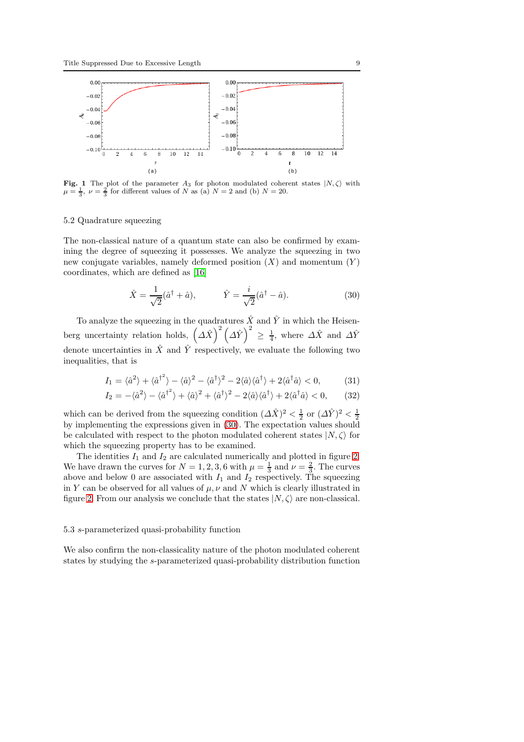

<span id="page-8-0"></span>**Fig. 1** The plot of the parameter  $A_3$  for photon modulated coherent states  $|N, \zeta\rangle$  with  $\mu = \frac{1}{3}$ ,  $\nu = \frac{2}{3}$  for different values of N as (a)  $N = 2$  and (b)  $N = 20$ .

## 5.2 Quadrature squeezing

The non-classical nature of a quantum state can also be confirmed by examining the degree of squeezing it possesses. We analyze the squeezing in two new conjugate variables, namely deformed position  $(X)$  and momentum  $(Y)$ coordinates, which are defined as [\[16\]](#page-13-5)

<span id="page-8-1"></span>
$$
\hat{X} = \frac{1}{\sqrt{2}}(\hat{a}^\dagger + \hat{a}), \qquad \hat{Y} = \frac{i}{\sqrt{2}}(\hat{a}^\dagger - \hat{a}). \tag{30}
$$

To analyze the squeezing in the quadratures  $\hat{X}$  and  $\hat{Y}$  in which the Heisenberg uncertainty relation holds,  $(\Delta \hat{X})^2 (\Delta \hat{Y})^2 \ge \frac{1}{4}$ , where  $\Delta \hat{X}$  and  $\Delta \hat{Y}$ denote uncertainties in  $\hat{X}$  and  $\hat{Y}$  respectively, we evaluate the following two inequalities, that is

$$
I_1 = \langle \hat{a}^2 \rangle + \langle \hat{a}^{\dagger} \rangle - \langle \hat{a} \rangle^2 - \langle \hat{a}^{\dagger} \rangle^2 - 2 \langle \hat{a} \rangle \langle \hat{a}^{\dagger} \rangle + 2 \langle \hat{a}^{\dagger} \hat{a} \rangle < 0,\tag{31}
$$

$$
I_2 = -\langle \hat{a}^2 \rangle - \langle \hat{a}^{\dagger} \rangle + \langle \hat{a} \rangle^2 + \langle \hat{a}^{\dagger} \rangle^2 - 2\langle \hat{a} \rangle \langle \hat{a}^{\dagger} \rangle + 2\langle \hat{a}^{\dagger} \hat{a} \rangle < 0,\tag{32}
$$

which can be derived from the squeezing condition  $(\Delta \hat{X})^2 < \frac{1}{2}$  or  $(\Delta \hat{Y})^2 < \frac{1}{2}$ by implementing the expressions given in [\(30\)](#page-8-1). The expectation values should be calculated with respect to the photon modulated coherent states  $|N,\zeta\rangle$  for which the squeezing property has to be examined.

The identities  $I_1$  and  $I_2$  are calculated numerically and plotted in figure [2.](#page-9-0) We have drawn the curves for  $N = 1, 2, 3, 6$  with  $\mu = \frac{1}{3}$  and  $\nu = \frac{2}{3}$ . The curves above and below 0 are associated with  $I_1$  and  $I_2$  respectively. The squeezing in Y can be observed for all values of  $\mu$ ,  $\nu$  and N which is clearly illustrated in figure [2.](#page-9-0) From our analysis we conclude that the states  $|N,\zeta\rangle$  are non-classical.

### 5.3 s-parameterized quasi-probability function

We also confirm the non-classicality nature of the photon modulated coherent states by studying the s-parameterized quasi-probability distribution function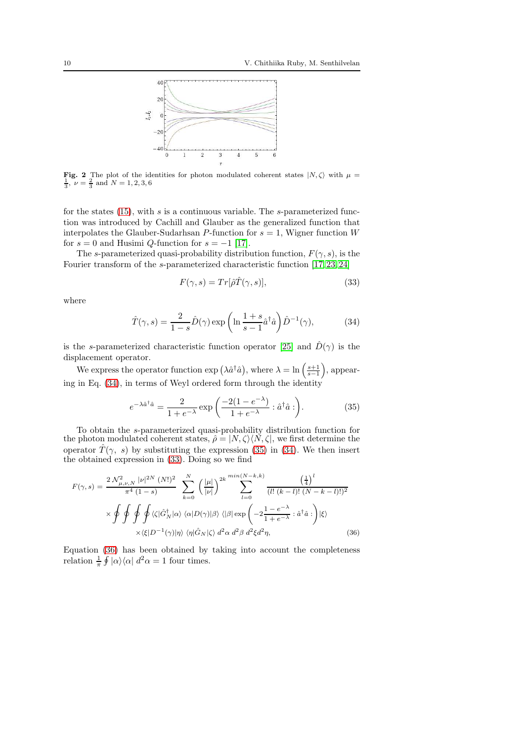

<span id="page-9-0"></span>Fig. 2 The plot of the identities for photon modulated coherent states  $|N,\zeta\rangle$  with  $\mu =$  $\frac{1}{3}$ ,  $\nu = \frac{2}{3}$  and  $N = 1, 2, 3, 6$ 

for the states  $(15)$ , with s is a continuous variable. The s-parameterized function was introduced by Cachill and Glauber as the generalized function that interpolates the Glauber-Sudarhsan P-function for  $s = 1$ , Wigner function W for  $s = 0$  and Husimi  $Q$ -function for  $s = -1$  [\[17\]](#page-13-6).

The s-parameterized quasi-probability distribution function,  $F(\gamma, s)$ , is the Fourier transform of the s-parameterized characteristic function [\[17,](#page-13-6) [23,](#page-13-12) [24\]](#page-13-13)

<span id="page-9-3"></span>
$$
F(\gamma, s) = Tr[\hat{\rho}\hat{T}(\gamma, s)],\tag{33}
$$

where

<span id="page-9-1"></span>
$$
\hat{T}(\gamma, s) = \frac{2}{1 - s} \hat{D}(\gamma) \exp\left(\ln \frac{1 + s}{s - 1} \hat{a}^\dagger \hat{a}\right) \hat{D}^{-1}(\gamma),\tag{34}
$$

is the s-parameterized characteristic function operator [\[25\]](#page-13-14) and  $\hat{D}(\gamma)$  is the displacement operator.

We express the operator function  $\exp\left(\lambda \hat{a}^\dagger \hat{a}\right)$ , where  $\lambda = \ln\left(\frac{s+1}{s-1}\right)$ , appearing in Eq. [\(34\)](#page-9-1), in terms of Weyl ordered form through the identity

<span id="page-9-2"></span>
$$
e^{-\lambda \hat{a}^{\dagger}\hat{a}} = \frac{2}{1 + e^{-\lambda}} \exp\left(\frac{-2(1 - e^{-\lambda})}{1 + e^{-\lambda}} : \hat{a}^{\dagger}\hat{a}:\right).
$$
 (35)

To obtain the s-parameterized quasi-probability distribution function for the photon modulated coherent states,  $\hat{\rho} = |N, \zeta\rangle \langle N, \zeta|$ , we first determine the operator  $\hat{T}(\gamma, s)$  by substituting the expression [\(35\)](#page-9-2) in [\(34\)](#page-9-1). We then insert the obtained expression in [\(33\)](#page-9-3). Doing so we find

<span id="page-9-4"></span>
$$
F(\gamma, s) = \frac{2 \mathcal{N}_{\mu, \nu, N}^{2} |\nu|^{2N} (N!)^{2}}{\pi^{4} (1 - s)} \sum_{k=0}^{N} \left(\frac{|\mu|}{|\nu|}\right)^{2k} \sum_{l=0}^{min(N-k, k)} \frac{\left(\frac{1}{4}\right)^{l}}{(l! (k-l)! (N-k-l)!)^{2}}
$$

$$
\times \oint \oint \oint \oint \oint \langle \zeta | \hat{G}_{N}^{\dagger} | \alpha \rangle \langle \alpha | D(\gamma) | \beta \rangle \langle | \beta | \exp \left(-2\frac{1 - e^{-\lambda}}{1 + e^{-\lambda}} : \hat{a}^{\dagger} \hat{a} : \right) | \xi \rangle
$$

$$
\times \langle \xi | D^{-1}(\gamma) | \eta \rangle \langle \eta | \hat{G}_{N} | \zeta \rangle d^{2} \alpha d^{2} \beta d^{2} \xi d^{2} \eta, \qquad (36)
$$

Equation [\(36\)](#page-9-4) has been obtained by taking into account the completeness relation  $\frac{1}{\pi} \oint |\alpha\rangle\langle\alpha| d^2\alpha = 1$  four times.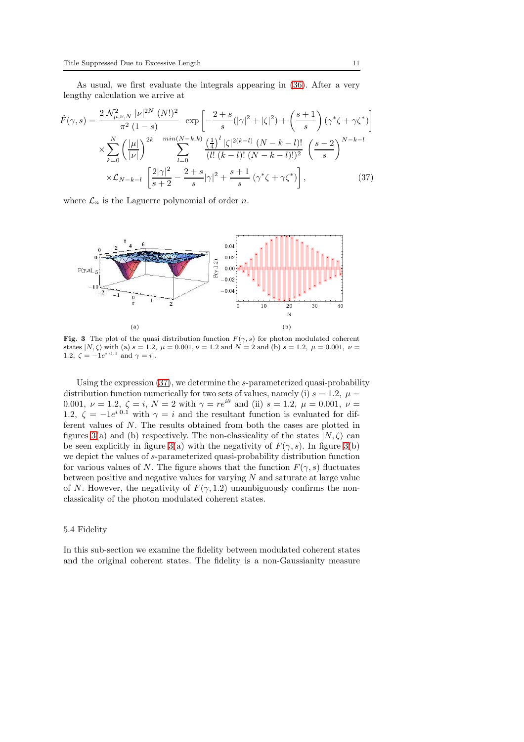As usual, we first evaluate the integrals appearing in [\(36\)](#page-9-4). After a very lengthy calculation we arrive at

<span id="page-10-0"></span>
$$
\hat{F}(\gamma, s) = \frac{2 \mathcal{N}_{\mu, \nu, N}^2 |\nu|^{2N} (N!)^2}{\pi^2 (1 - s)} \exp\left[ -\frac{2 + s}{s} (|\gamma|^2 + |\zeta|^2) + \left(\frac{s + 1}{s}\right) (\gamma^* \zeta + \gamma \zeta^*) \right]
$$
\n
$$
\times \sum_{k=0}^N \left( \frac{|\mu|}{|\nu|} \right)^{2k} \sum_{l=0}^{\min(N-k, k)} \frac{\left(\frac{1}{4}\right)^l |\zeta|^{2(k-l)} (N - k - l)!}{(l! (k - l)! (N - k - l)!)^2} \left(\frac{s - 2}{s}\right)^{N - k - l}
$$
\n
$$
\times \mathcal{L}_{N-k-l} \left[ \frac{2|\gamma|^2}{s + 2} - \frac{2 + s}{s} |\gamma|^2 + \frac{s + 1}{s} (\gamma^* \zeta + \gamma \zeta^*) \right],
$$
\n(37)

where  $\mathcal{L}_n$  is the Laguerre polynomial of order n.



<span id="page-10-1"></span>Fig. 3 The plot of the quasi distribution function  $F(\gamma, s)$  for photon modulated coherent states  $|N,\zeta\rangle$  with (a)  $s = 1.2$ ,  $\mu = 0.001$ ,  $\nu = 1.2$  and  $N = 2$  and (b)  $s = 1.2$ ,  $\mu = 0.001$ ,  $\nu =$ 1.2,  $\zeta = -1e^{i\ 0.1}$  and  $\gamma = i$ .

Using the expression [\(37\)](#page-10-0), we determine the s-parameterized quasi-probability distribution function numerically for two sets of values, namely (i)  $s = 1.2$ ,  $\mu =$ 0.001,  $\nu = 1.2, \zeta = i, N = 2$  with  $\gamma = re^{i\theta}$  and (ii)  $s = 1.2, \mu = 0.001, \nu =$ 1.2,  $\zeta = -1e^{i \cdot 0.1}$  with  $\gamma = i$  and the resultant function is evaluated for different values of N. The results obtained from both the cases are plotted in figures [3\(](#page-10-1)a) and (b) respectively. The non-classicality of the states  $|N,\zeta\rangle$  can be seen explicitly in figure [3\(](#page-10-1)a) with the negativity of  $F(\gamma, s)$ . In figure 3(b) we depict the values of s-parameterized quasi-probability distribution function for various values of N. The figure shows that the function  $F(\gamma, s)$  fluctuates between positive and negative values for varying  $N$  and saturate at large value of N. However, the negativity of  $F(\gamma, 1.2)$  unambiguously confirms the nonclassicality of the photon modulated coherent states.

### 5.4 Fidelity

In this sub-section we examine the fidelity between modulated coherent states and the original coherent states. The fidelity is a non-Gaussianity measure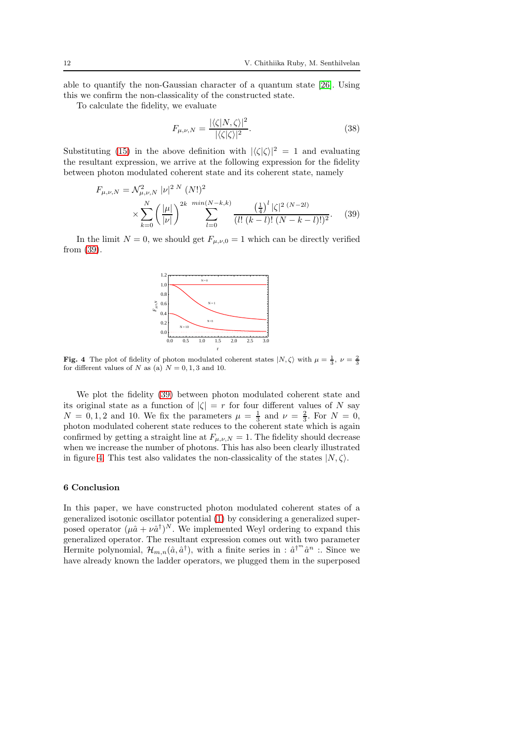able to quantify the non-Gaussian character of a quantum state [\[26\]](#page-13-15). Using this we confirm the non-classicality of the constructed state.

To calculate the fidelity, we evaluate

$$
F_{\mu,\nu,N} = \frac{|\langle \zeta | N, \zeta \rangle|^2}{|\langle \zeta | \zeta \rangle|^2}.
$$
\n(38)

Substituting [\(15\)](#page-4-3) in the above definition with  $|\langle \zeta | \zeta \rangle|^2 = 1$  and evaluating the resultant expression, we arrive at the following expression for the fidelity between photon modulated coherent state and its coherent state, namely

<span id="page-11-0"></span>
$$
F_{\mu,\nu,N} = \mathcal{N}_{\mu,\nu,N}^2 |\nu|^2 \, N \, (N!)^2
$$

$$
\times \sum_{k=0}^N \left(\frac{|\mu|}{|\nu|}\right)^{2k} \sum_{l=0}^{\min(N-k,k)} \frac{\left(\frac{1}{4}\right)^l |\zeta|^2 \, (N-2l)}{(l! \, (k-l)! \, (N-k-l)!)^2} . \tag{39}
$$

In the limit  $N = 0$ , we should get  $F_{\mu,\nu,0} = 1$  which can be directly verified from [\(39\)](#page-11-0).



<span id="page-11-1"></span>**Fig. 4** The plot of fidelity of photon modulated coherent states  $|N,\zeta\rangle$  with  $\mu = \frac{1}{3}, \nu = \frac{2}{3}$ for different values of N as (a)  $N = 0, 1, 3$  and 10.

We plot the fidelity [\(39\)](#page-11-0) between photon modulated coherent state and its original state as a function of  $|\zeta| = r$  for four different values of N say  $N = 0, 1, 2$  and 10. We fix the parameters  $\mu = \frac{1}{3}$  and  $\nu = \frac{2}{3}$ . For  $N = 0$ , photon modulated coherent state reduces to the coherent state which is again confirmed by getting a straight line at  $F_{\mu,\nu,N} = 1$ . The fidelity should decrease when we increase the number of photons. This has also been clearly illustrated in figure [4.](#page-11-1) This test also validates the non-classicality of the states  $|N,\zeta\rangle$ .

## 6 Conclusion

In this paper, we have constructed photon modulated coherent states of a generalized isotonic oscillator potential [\(1\)](#page-2-0) by considering a generalized superposed operator  $(\mu \hat{a} + \nu \hat{a}^{\dagger})^N$ . We implemented Weyl ordering to expand this generalized operator. The resultant expression comes out with two parameter Hermite polynomial,  $\mathcal{H}_{m,n}(\hat{a}, \hat{a}^{\dagger})$ , with a finite series in :  $\hat{a}^{\dagger m} \hat{a}^n$  : Since we have already known the ladder operators, we plugged them in the superposed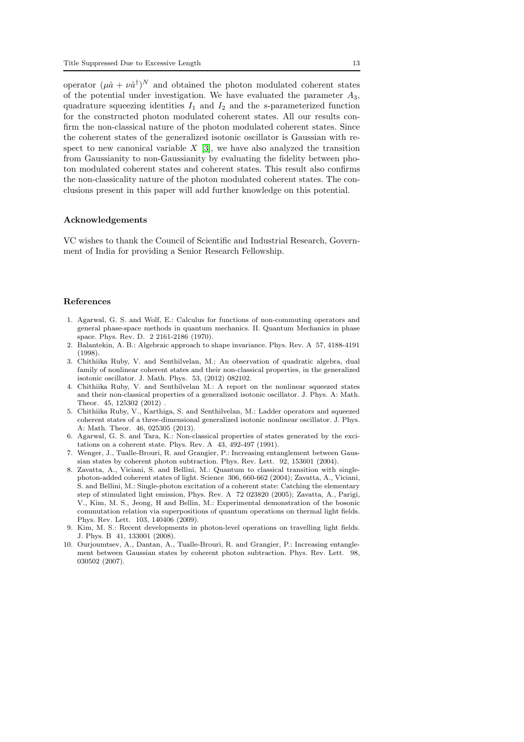operator  $(\mu \hat{a} + \nu \hat{a}^{\dagger})^N$  and obtained the photon modulated coherent states of the potential under investigation. We have evaluated the parameter  $A_3$ , quadrature squeezing identities  $I_1$  and  $I_2$  and the s-parameterized function for the constructed photon modulated coherent states. All our results confirm the non-classical nature of the photon modulated coherent states. Since the coherent states of the generalized isotonic oscillator is Gaussian with respect to new canonical variable  $X$  [\[3\]](#page-12-2), we have also analyzed the transition from Gaussianity to non-Gaussianity by evaluating the fidelity between photon modulated coherent states and coherent states. This result also confirms the non-classicality nature of the photon modulated coherent states. The conclusions present in this paper will add further knowledge on this potential.

## Acknowledgements

VC wishes to thank the Council of Scientific and Industrial Research, Government of India for providing a Senior Research Fellowship.

#### References

- <span id="page-12-0"></span>1. Agarwal, G. S. and Wolf, E.: Calculus for functions of non-commuting operators and general phase-space methods in quantum mechanics. II. Quantum Mechanics in phase space. Phys. Rev. D. 2 2161-2186 (1970).
- <span id="page-12-1"></span>2. Balantekin, A. B.: Algebraic approach to shape invariance. Phys. Rev. A 57, 4188-4191 (1998).
- <span id="page-12-2"></span>3. Chithiika Ruby, V. and Senthilvelan, M.: An observation of quadratic algebra, dual family of nonlinear coherent states and their non-classical properties, in the generalized isotonic oscillator. J. Math. Phys. 53, (2012) 082102.
- <span id="page-12-3"></span>4. Chithiika Ruby, V. and Senthilvelan M.: A report on the nonlinear squeezed states and their non-classical properties of a generalized isotonic oscillator. J. Phys. A: Math. Theor. 45, 125302 (2012) .
- <span id="page-12-4"></span>5. Chithiika Ruby, V., Karthiga, S. and Senthilvelan, M.: Ladder operators and squeezed coherent states of a three-dimensional generalized isotonic nonlinear oscillator. J. Phys. A: Math. Theor. 46, 025305 (2013).
- <span id="page-12-5"></span>6. Agarwal, G. S. and Tara, K.: Non-classical properties of states generated by the excitations on a coherent state. Phys. Rev. A 43, 492-497 (1991).
- <span id="page-12-6"></span>7. Wenger, J., Tualle-Brouri, R. and Grangier, P.: Increasing entanglement between Gaussian states by coherent photon subtraction. Phys. Rev. Lett. 92, 153601 (2004).
- <span id="page-12-7"></span>8. Zavatta, A., Viciani, S. and Bellini, M.: Quantum to classical transition with singlephoton-added coherent states of light. Science 306, 660-662 (2004); Zavatta, A., Viciani, S. and Bellini, M.: Single-photon excitation of a coherent state: Catching the elementary step of stimulated light emission, Phys. Rev. A 72 023820 (2005); Zavatta, A., Parigi, V., Kim, M. S., Jeong, H and Bellin, M.: Experimental demonstration of the bosonic commutation relation via superpositions of quantum operations on thermal light fields. Phys. Rev. Lett. 103, 140406 (2009).
- <span id="page-12-8"></span>9. Kim, M. S.: Recent developments in photon-level operations on travelling light fields. J. Phys. B 41, 133001 (2008).
- <span id="page-12-9"></span>10. Ourjoumtsev, A., Dantan, A., Tualle-Brouri, R. and Grangier, P.: Increasing entanglement between Gaussian states by coherent photon subtraction. Phys. Rev. Lett. 98, 030502 (2007).